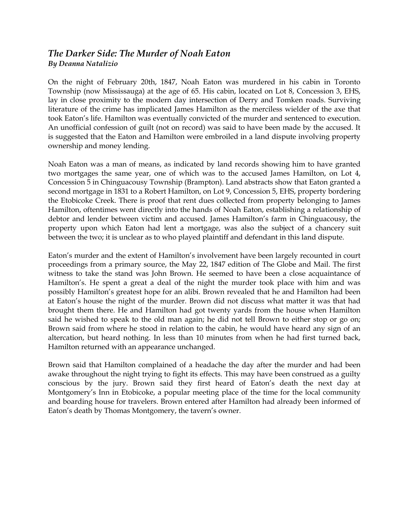## *The Darker Side: The Murder of Noah Eaton By Deanna Natalizio*

On the night of February 20th, 1847, Noah Eaton was murdered in his cabin in Toronto Township (now Mississauga) at the age of 65. His cabin, located on Lot 8, Concession 3, EHS, lay in close proximity to the modern day intersection of Derry and Tomken roads. Surviving literature of the crime has implicated James Hamilton as the merciless wielder of the axe that took Eaton's life. Hamilton was eventually convicted of the murder and sentenced to execution. An unofficial confession of guilt (not on record) was said to have been made by the accused. It is suggested that the Eaton and Hamilton were embroiled in a land dispute involving property ownership and money lending.

Noah Eaton was a man of means, as indicated by land records showing him to have granted two mortgages the same year, one of which was to the accused James Hamilton, on Lot 4, Concession 5 in Chinguacousy Township (Brampton). Land abstracts show that Eaton granted a second mortgage in 1831 to a Robert Hamilton, on Lot 9, Concession 5, EHS, property bordering the Etobicoke Creek. There is proof that rent dues collected from property belonging to James Hamilton, oftentimes went directly into the hands of Noah Eaton, establishing a relationship of debtor and lender between victim and accused. James Hamilton's farm in Chinguacousy, the property upon which Eaton had lent a mortgage, was also the subject of a chancery suit between the two; it is unclear as to who played plaintiff and defendant in this land dispute.

Eaton's murder and the extent of Hamilton's involvement have been largely recounted in court proceedings from a primary source, the May 22, 1847 edition of The Globe and Mail. The first witness to take the stand was John Brown. He seemed to have been a close acquaintance of Hamilton's. He spent a great a deal of the night the murder took place with him and was possibly Hamilton's greatest hope for an alibi. Brown revealed that he and Hamilton had been at Eaton's house the night of the murder. Brown did not discuss what matter it was that had brought them there. He and Hamilton had got twenty yards from the house when Hamilton said he wished to speak to the old man again; he did not tell Brown to either stop or go on; Brown said from where he stood in relation to the cabin, he would have heard any sign of an altercation, but heard nothing. In less than 10 minutes from when he had first turned back, Hamilton returned with an appearance unchanged.

Brown said that Hamilton complained of a headache the day after the murder and had been awake throughout the night trying to fight its effects. This may have been construed as a guilty conscious by the jury. Brown said they first heard of Eaton's death the next day at Montgomery's Inn in Etobicoke, a popular meeting place of the time for the local community and boarding house for travelers. Brown entered after Hamilton had already been informed of Eaton's death by Thomas Montgomery, the tavern's owner.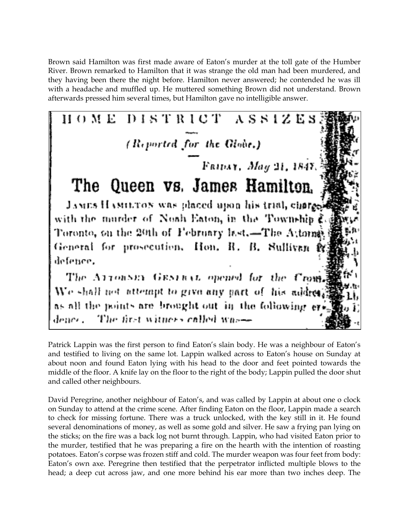Brown said Hamilton was first made aware of Eaton's murder at the toll gate of the Humber River. Brown remarked to Hamilton that it was strange the old man had been murdered, and they having been there the night before. Hamilton never answered; he contended he was ill with a headache and muffled up. He muttered something Brown did not understand. Brown afterwards pressed him several times, but Hamilton gave no intelligible answer.



Patrick Lappin was the first person to find Eaton's slain body. He was a neighbour of Eaton's and testified to living on the same lot. Lappin walked across to Eaton's house on Sunday at about noon and found Eaton lying with his head to the door and feet pointed towards the middle of the floor. A knife lay on the floor to the right of the body; Lappin pulled the door shut and called other neighbours.

David Peregrine, another neighbour of Eaton's, and was called by Lappin at about one o clock on Sunday to attend at the crime scene. After finding Eaton on the floor, Lappin made a search to check for missing fortune. There was a truck unlocked, with the key still in it. He found several denominations of money, as well as some gold and silver. He saw a frying pan lying on the sticks; on the fire was a back log not burnt through. Lappin, who had visited Eaton prior to the murder, testified that he was preparing a fire on the hearth with the intention of roasting potatoes. Eaton's corpse was frozen stiff and cold. The murder weapon was four feet from body: Eaton's own axe. Peregrine then testified that the perpetrator inflicted multiple blows to the head; a deep cut across jaw, and one more behind his ear more than two inches deep. The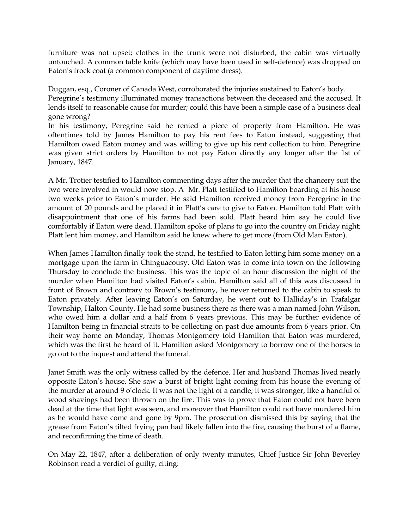furniture was not upset; clothes in the trunk were not disturbed, the cabin was virtually untouched. A common table knife (which may have been used in self-defence) was dropped on Eaton's frock coat (a common component of daytime dress).

Duggan, esq., Coroner of Canada West, corroborated the injuries sustained to Eaton's body. Peregrine's testimony illuminated money transactions between the deceased and the accused. It lends itself to reasonable cause for murder; could this have been a simple case of a business deal gone wrong?

In his testimony, Peregrine said he rented a piece of property from Hamilton. He was oftentimes told by James Hamilton to pay his rent fees to Eaton instead, suggesting that Hamilton owed Eaton money and was willing to give up his rent collection to him. Peregrine was given strict orders by Hamilton to not pay Eaton directly any longer after the 1st of January, 1847.

A Mr. Trotier testified to Hamilton commenting days after the murder that the chancery suit the two were involved in would now stop. A Mr. Platt testified to Hamilton boarding at his house two weeks prior to Eaton's murder. He said Hamilton received money from Peregrine in the amount of 20 pounds and he placed it in Platt's care to give to Eaton. Hamilton told Platt with disappointment that one of his farms had been sold. Platt heard him say he could live comfortably if Eaton were dead. Hamilton spoke of plans to go into the country on Friday night; Platt lent him money, and Hamilton said he knew where to get more (from Old Man Eaton).

When James Hamilton finally took the stand, he testified to Eaton letting him some money on a mortgage upon the farm in Chinguacousy. Old Eaton was to come into town on the following Thursday to conclude the business. This was the topic of an hour discussion the night of the murder when Hamilton had visited Eaton's cabin. Hamilton said all of this was discussed in front of Brown and contrary to Brown's testimony, he never returned to the cabin to speak to Eaton privately. After leaving Eaton's on Saturday, he went out to Halliday's in Trafalgar Township, Halton County. He had some business there as there was a man named John Wilson, who owed him a dollar and a half from 6 years previous. This may be further evidence of Hamilton being in financial straits to be collecting on past due amounts from 6 years prior. On their way home on Monday, Thomas Montgomery told Hamilton that Eaton was murdered, which was the first he heard of it. Hamilton asked Montgomery to borrow one of the horses to go out to the inquest and attend the funeral.

Janet Smith was the only witness called by the defence. Her and husband Thomas lived nearly opposite Eaton's house. She saw a burst of bright light coming from his house the evening of the murder at around 9 o'clock. It was not the light of a candle; it was stronger, like a handful of wood shavings had been thrown on the fire. This was to prove that Eaton could not have been dead at the time that light was seen, and moreover that Hamilton could not have murdered him as he would have come and gone by 9pm. The prosecution dismissed this by saying that the grease from Eaton's tilted frying pan had likely fallen into the fire, causing the burst of a flame, and reconfirming the time of death.

On May 22, 1847, after a deliberation of only twenty minutes, Chief Justice Sir John Beverley Robinson read a verdict of guilty, citing: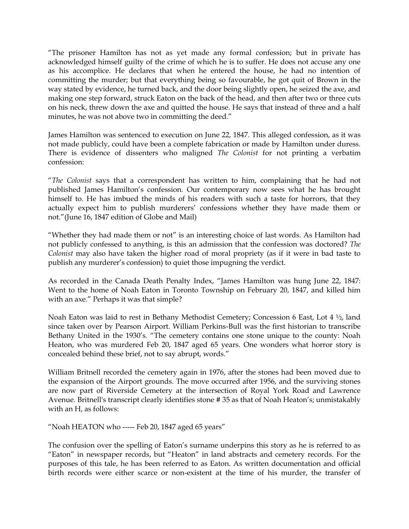"The prisoner Hamilton has not as yet made any formal confession; but in private has acknowledged himself guilty of the crime of which he is to suffer. He does not accuse any one as his accomplice. He declares that when he entered the house, he had no intention of committing the murder; but that everything being so favourable, he got quit of Brown in the way stated by evidence, he turned back, and the door being slightly open, he seized the axe, and making one step forward, struck Eaton on the back of the head, and then after two or three cuts on his neck, threw down the axe and quitted the house. He says that instead of three and a half minutes, he was not above two in committing the deed."

James Hamilton was sentenced to execution on June 22, 1847. This alleged confession, as it was not made publicly, could have been a complete fabrication or made by Hamilton under duress. There is evidence of dissenters who maligned *The Colonist* for not printing a verbatim confession:

"*The Colonist* says that a correspondent has written to him, complaining that he had not published James Hamilton's confession. Our contemporary now sees what he has brought himself to. He has imbued the minds of his readers with such a taste for horrors, that they actually expect him to publish murderers' confessions whether they have made them or not."(June 16, 1847 edition of Globe and Mail)

"Whether they had made them or not" is an interesting choice of last words. As Hamilton had not publicly confessed to anything, is this an admission that the confession was doctored? *The Colonist* may also have taken the higher road of moral propriety (as if it were in bad taste to publish any murderer's confession) to quiet those impugning the verdict.

As recorded in the Canada Death Penalty Index, "James Hamilton was hung June 22, 1847: Went to the home of Noah Eaton in Toronto Township on February 20, 1847, and killed him with an axe." Perhaps it was that simple?

Noah Eaton was laid to rest in Bethany Methodist Cemetery; Concession 6 East, Lot 4 ½, land since taken over by Pearson Airport. William Perkins-Bull was the first historian to transcribe Bethany United in the 1930's. "The cemetery contains one stone unique to the county: Noah Heaton, who was murdered Feb 20, 1847 aged 65 years. One wonders what horror story is concealed behind these brief, not to say abrupt, words."

William Britnell recorded the cemetery again in 1976, after the stones had been moved due to the expansion of the Airport grounds. The move occurred after 1956, and the surviving stones are now part of Riverside Cemetery at the intersection of Royal York Road and Lawrence Avenue. Britnell's transcript clearly identifies stone # 35 as that of Noah Heaton's; unmistakably with an H, as follows:

"Noah HEATON who ----- Feb 20, 1847 aged 65 years"

The confusion over the spelling of Eaton's surname underpins this story as he is referred to as "Eaton" in newspaper records, but "Heaton" in land abstracts and cemetery records. For the purposes of this tale, he has been referred to as Eaton. As written documentation and official birth records were either scarce or non-existent at the time of his murder, the transfer of